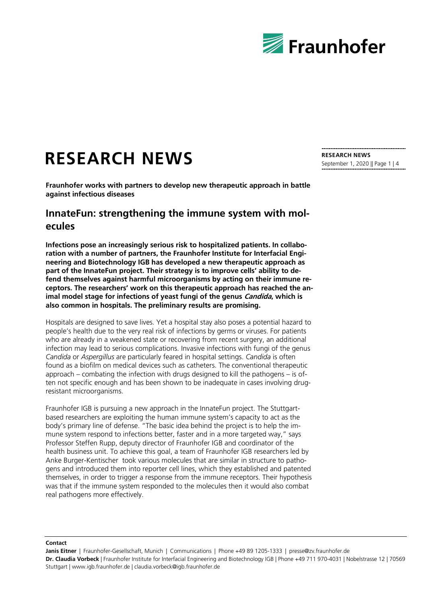

# **RESEARCH NEWS**

**Fraunhofer works with partners to develop new therapeutic approach in battle against infectious diseases**

# **InnateFun: strengthening the immune system with molecules**

**Infections pose an increasingly serious risk to hospitalized patients. In collaboration with a number of partners, the Fraunhofer Institute for Interfacial Engineering and Biotechnology IGB has developed a new therapeutic approach as part of the InnateFun project. Their strategy is to improve cells' ability to defend themselves against harmful microorganisms by acting on their immune receptors. The researchers' work on this therapeutic approach has reached the animal model stage for infections of yeast fungi of the genus Candida, which is also common in hospitals. The preliminary results are promising.**

Hospitals are designed to save lives. Yet a hospital stay also poses a potential hazard to people's health due to the very real risk of infections by germs or viruses. For patients who are already in a weakened state or recovering from recent surgery, an additional infection may lead to serious complications. Invasive infections with fungi of the genus *Candida* or *Aspergillus* are particularly feared in hospital settings. *Candida* is often found as a biofilm on medical devices such as catheters. The conventional therapeutic approach – combating the infection with drugs designed to kill the pathogens – is often not specific enough and has been shown to be inadequate in cases involving drugresistant microorganisms.

Fraunhofer IGB is pursuing a new approach in the InnateFun project. The Stuttgartbased researchers are exploiting the human immune system's capacity to act as the body's primary line of defense. "The basic idea behind the project is to help the immune system respond to infections better, faster and in a more targeted way," says Professor Steffen Rupp, deputy director of Fraunhofer IGB and coordinator of the health business unit. To achieve this goal, a team of Fraunhofer IGB researchers led by Anke Burger-Kentischer took various molecules that are similar in structure to pathogens and introduced them into reporter cell lines, which they established and patented themselves, in order to trigger a response from the immune receptors. Their hypothesis was that if the immune system responded to the molecules then it would also combat real pathogens more effectively.

**RESEARCH NEWS** September 1, 2020 || Page 1 | 4

#### **Contact**

**Janis Eitner** | Fraunhofer-Gesellschaft, Munich | Communications | Phone +49 89 1205-1333 | presse@zv.fraunhofer.de **Dr. Claudia Vorbeck** | Fraunhofer Institute for Interfacial Engineering and Biotechnology IGB | Phone +49 711 970-4031 | Nobelstrasse 12 | 70569 Stuttgart | www.igb.fraunhofer.de | claudia.vorbeck@igb.fraunhofer.de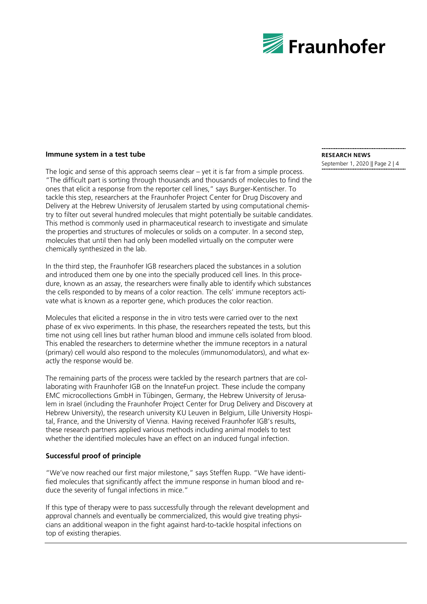

#### **Immune system in a test tube**

The logic and sense of this approach seems clear – yet it is far from a simple process. "The difficult part is sorting through thousands and thousands of molecules to find the ones that elicit a response from the reporter cell lines," says Burger-Kentischer. To tackle this step, researchers at the Fraunhofer Project Center for Drug Discovery and Delivery at the Hebrew University of Jerusalem started by using computational chemistry to filter out several hundred molecules that might potentially be suitable candidates. This method is commonly used in pharmaceutical research to investigate and simulate the properties and structures of molecules or solids on a computer. In a second step, molecules that until then had only been modelled virtually on the computer were chemically synthesized in the lab.

In the third step, the Fraunhofer IGB researchers placed the substances in a solution and introduced them one by one into the specially produced cell lines. In this procedure, known as an assay, the researchers were finally able to identify which substances the cells responded to by means of a color reaction. The cells' immune receptors activate what is known as a reporter gene, which produces the color reaction.

Molecules that elicited a response in the in vitro tests were carried over to the next phase of ex vivo experiments. In this phase, the researchers repeated the tests, but this time not using cell lines but rather human blood and immune cells isolated from blood. This enabled the researchers to determine whether the immune receptors in a natural (primary) cell would also respond to the molecules (immunomodulators), and what exactly the response would be.

The remaining parts of the process were tackled by the research partners that are collaborating with Fraunhofer IGB on the InnateFun project. These include the company EMC microcollections GmbH in Tübingen, Germany, the Hebrew University of Jerusalem in Israel (including the Fraunhofer Project Center for Drug Delivery and Discovery at Hebrew University), the research university KU Leuven in Belgium, Lille University Hospital, France, and the University of Vienna. Having received Fraunhofer IGB's results, these research partners applied various methods including animal models to test whether the identified molecules have an effect on an induced fungal infection.

## **Successful proof of principle**

"We've now reached our first major milestone," says Steffen Rupp. "We have identified molecules that significantly affect the immune response in human blood and reduce the severity of fungal infections in mice."

If this type of therapy were to pass successfully through the relevant development and approval channels and eventually be commercialized, this would give treating physicians an additional weapon in the fight against hard-to-tackle hospital infections on top of existing therapies.

### **RESEARCH NEWS**

September 1, 2020 || Page 2 | 4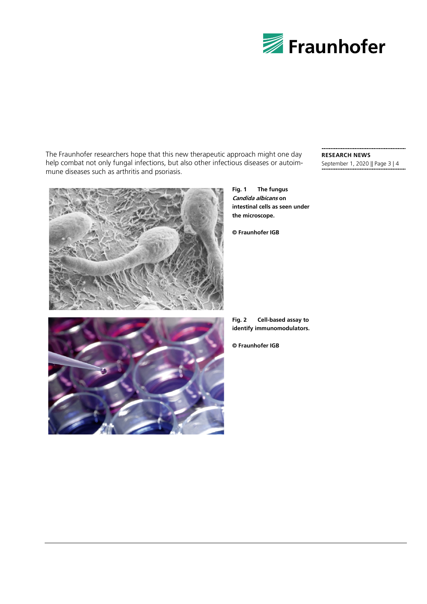

The Fraunhofer researchers hope that this new therapeutic approach might one day help combat not only fungal infections, but also other infectious diseases or autoimmune diseases such as arthritis and psoriasis.

**RESEARCH NEWS** September 1, 2020 || Page 3 | 4



**Fig. 1 The fungus Candida albicans on intestinal cells as seen under the microscope.**

**© Fraunhofer IGB**



- **Fig. 2 Cell-based assay to identify immunomodulators.**
- **© Fraunhofer IGB**